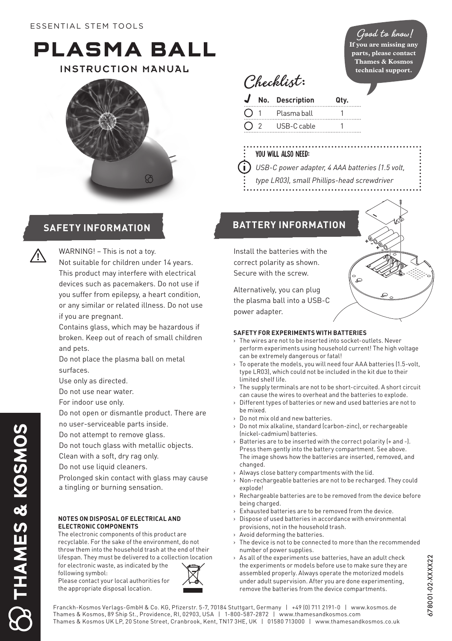# **PLASMA BALL**

INSTRUCTION MANUAL





**1**

THAMES & KOSMOS

**!** WARNING! – This is not a toy.

- Not suitable for children under 14 years. This product may interfere with electrical devices such as pacemakers. Do not use if you suffer from epilepsy, a heart condition, or any similar or related illness. Do not use if you are pregnant.
- Contains glass, which may be hazardous if broken. Keep out of reach of small children and pets.
- Do not place the plasma ball on metal surfaces.
- Use only as directed.
- Do not use near water.
- For indoor use only.
- Do not open or dismantle product. There are no user-serviceable parts inside.
- Do not attempt to remove glass.
- Do not touch glass with metallic objects.
- Clean with a soft, dry rag only.
- Do not use liquid cleaners.
- Prolonged skin contact with glass may cause a tingling or burning sensation.

#### **NOTES ON DISPOSAL OF ELECTRICAL AND ELECTRONIC COMPONENTS**

The electronic components of this product are recyclable. For the sake of the environment, do not throw them into the household trash at the end of their lifespan. They must be delivered to a collection location for electronic waste, as indicated by the





## **Good to know!**

**If you are missing any parts, please contact Thames & Kosmos technical support.**

**Checklist:**

| J  | No. Description | Qty. |
|----|-----------------|------|
| O. | Plasma ball     |      |
|    |                 |      |

- 2 USB-C cable 1
- You will also need:

î.

- *USB-C power adapter, 4 AAA batteries (1.5 volt,*
- *type LR03), small Phillips-head screwdriver*
- 

# **SAFETY INFORMATION BATTERY INFORMATION**

Install the batteries with the correct polarity as shown. Secure with the screw.

Alternatively, you can plug the plasma ball into a USB-C power adapter.

#### **SAFETY FOR EXPERIMENTS WITH BATTERIES**

- › The wires are not to be inserted into socket-outlets. Never perform experiments using household current! The high voltage can be extremely dangerous or fatal!
- › To operate the models, you will need four AAA batteries (1.5-volt, type LR03), which could not be included in the kit due to their limited shelf life.
- › The supply terminals are not to be short-circuited. A short circuit can cause the wires to overheat and the batteries to explode.
- › Different types of batteries or new and used batteries are not to be mixed.
- › Do not mix old and new batteries.
- › Do not mix alkaline, standard (carbon-zinc), or rechargeable (nickel-cadmium) batteries.
- › Batteries are to be inserted with the correct polarity (+ and -). Press them gently into the battery compartment. See above. The image shows how the batteries are inserted, removed, and changed.
- › Always close battery compartments with the lid.
- › Non-rechargeable batteries are not to be recharged. They could explode!
- › Rechargeable batteries are to be removed from the device before being charged.
- › Exhausted batteries are to be removed from the device.
- › Dispose of used batteries in accordance with environmental provisions, not in the household trash.
- Avoid deforming the batteries.
- The device is not to be connected to more than the recommended number of power supplies.
- $\rightarrow$  As all of the experiments use batteries, have an adult check the experiments or models before use to make sure they are assembled properly. Always operate the motorized models under adult supervision. After you are done experimenting, remove the batteries from the device compartments.

Franckh-Kosmos Verlags-GmbH & Co. KG, Pfizerstr. 5-7, 70184 Stuttgart, Germany | +49 (0) 711 2191-0 | www.kosmos.de Thames & Kosmos, 89 Ship St., Providence, RI, 02903, USA | 1-800-587-2872 | www.thamesandkosmos.com Thames & Kosmos UK LP, 20 Stone Street, Cranbrook, Kent, TN17 3HE, UK | 01580 713000 | www.thamesandkosmos.co.uk